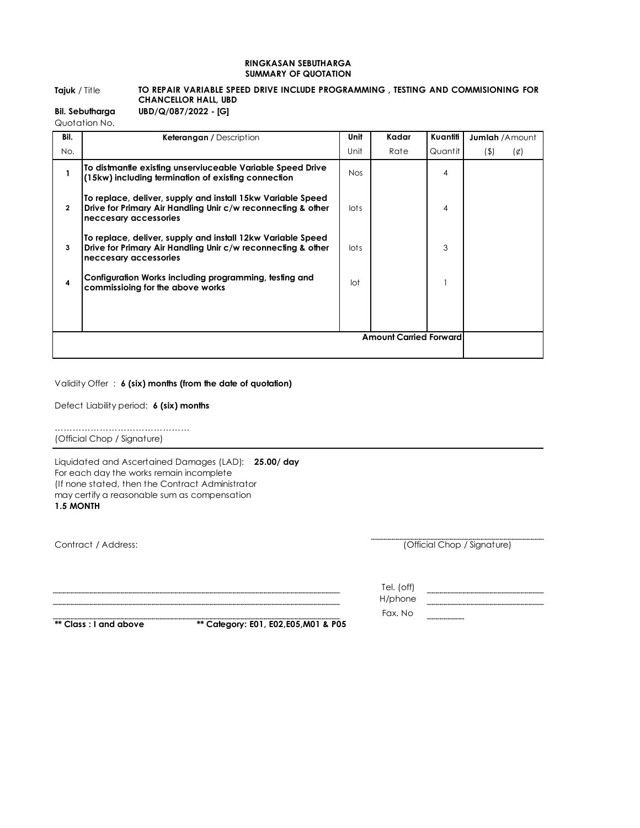## **RINGKASAN SEBUTHARGA SUMMARY OF QUOTATION**

## **Tajuk** / Title **TO REPAIR VARIABLE SPEED DRIVE INCLUDE PROGRAMMING , TESTING AND COMMISIONING FOR CHANCELLOR HALL, UBD**

| <b>Bil. Sebutharga</b> | UBD/Q/087/2022 - [G] |
|------------------------|----------------------|
|------------------------|----------------------|

Quotation No.

| Bil.                          | <b>Keterangan</b> / Description                                                                                                                      | Unit       | Kadar | Kuantiti | <b>Jumlah</b> /Amount  |
|-------------------------------|------------------------------------------------------------------------------------------------------------------------------------------------------|------------|-------|----------|------------------------|
| No.                           |                                                                                                                                                      | Unit       | Rate  | Quantit  | $($ \$)<br>$(\varphi)$ |
|                               | To distmantle existing unserviuceable Variable Speed Drive<br>(15kw) including termination of existing connection                                    | <b>Nos</b> |       | 4        |                        |
| $\mathbf{2}$                  | To replace, deliver, supply and install 15kw Variable Speed<br>Drive for Primary Air Handling Unir c/w reconnecting & other<br>neccesary accessories | lots       |       | 4        |                        |
| 3                             | To replace, deliver, supply and install 12kw Variable Speed<br>Drive for Primary Air Handling Unir c/w reconnecting & other<br>neccesary accessories | lots       |       | 3        |                        |
| 4                             | Configuration Works including programming, testing and<br>commissioing for the above works                                                           | lot        |       |          |                        |
|                               |                                                                                                                                                      |            |       |          |                        |
|                               |                                                                                                                                                      |            |       |          |                        |
| <b>Amount Carried Forward</b> |                                                                                                                                                      |            |       |          |                        |
|                               |                                                                                                                                                      |            |       |          |                        |

## Validity Offer : **6 (six) months (from the date of quotation)**

Defect Liability period: **6 (six) months**

……………………………………………… (Official Chop / Signature)

**1.5 MONTH** Liquidated and Ascertained Damages (LAD): **25.00/ day**  For each day the works remain incomplete (If none stated, then the Contract Administrator may certify a reasonable sum as compensation

Contract / Address:

(Official Chop / Signature)

..............

**\*\* Class : I and above \*\* Category: E01, E02,E05,M01 & P05** 

Tel. (off) H/phone Fax. No